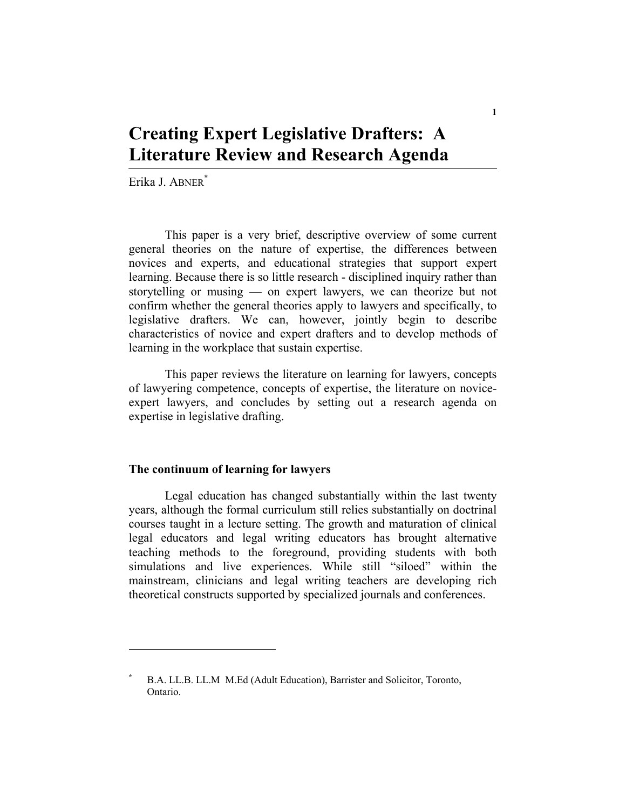# **Creating Expert Legislative Drafters: A Literature Review and Research Agenda**

Erika J. ABNER\*

This paper is a very brief, descriptive overview of some current general theories on the nature of expertise, the differences between novices and experts, and educational strategies that support expert learning. Because there is so little research - disciplined inquiry rather than storytelling or musing — on expert lawyers, we can theorize but not confirm whether the general theories apply to lawyers and specifically, to legislative drafters. We can, however, jointly begin to describe characteristics of novice and expert drafters and to develop methods of learning in the workplace that sustain expertise.

This paper reviews the literature on learning for lawyers, concepts of lawyering competence, concepts of expertise, the literature on noviceexpert lawyers, and concludes by setting out a research agenda on expertise in legislative drafting.

## **The continuum of learning for lawyers**

Legal education has changed substantially within the last twenty years, although the formal curriculum still relies substantially on doctrinal courses taught in a lecture setting. The growth and maturation of clinical legal educators and legal writing educators has brought alternative teaching methods to the foreground, providing students with both simulations and live experiences. While still "siloed" within the mainstream, clinicians and legal writing teachers are developing rich theoretical constructs supported by specialized journals and conferences.

**<sup>\*</sup>** B.A. LL.B. LL.M M.Ed (Adult Education), Barrister and Solicitor, Toronto, Ontario.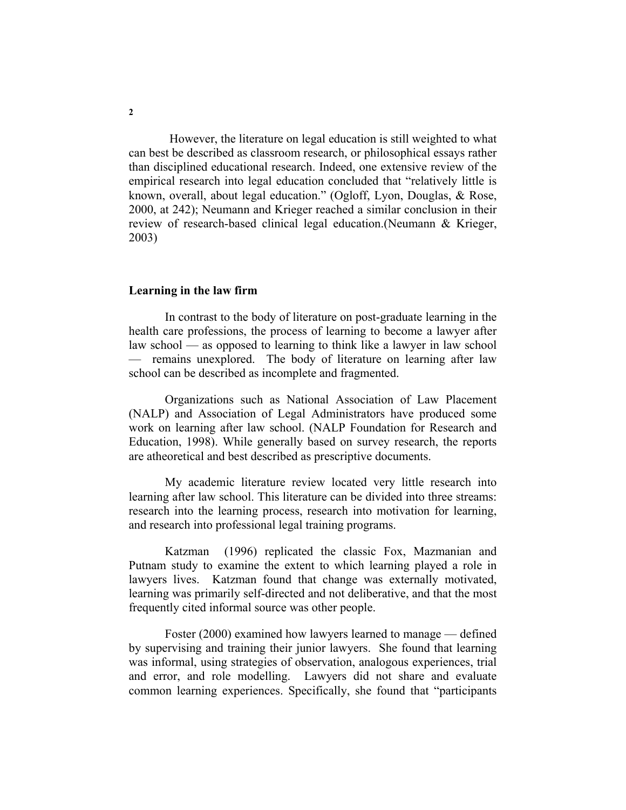However, the literature on legal education is still weighted to what can best be described as classroom research, or philosophical essays rather than disciplined educational research. Indeed, one extensive review of the empirical research into legal education concluded that "relatively little is known, overall, about legal education." (Ogloff, Lyon, Douglas, & Rose, 2000, at 242); Neumann and Krieger reached a similar conclusion in their review of research-based clinical legal education.(Neumann & Krieger, 2003)

#### **Learning in the law firm**

In contrast to the body of literature on post-graduate learning in the health care professions, the process of learning to become a lawyer after law school — as opposed to learning to think like a lawyer in law school — remains unexplored. The body of literature on learning after law school can be described as incomplete and fragmented.

Organizations such as National Association of Law Placement (NALP) and Association of Legal Administrators have produced some work on learning after law school. (NALP Foundation for Research and Education, 1998). While generally based on survey research, the reports are atheoretical and best described as prescriptive documents.

My academic literature review located very little research into learning after law school. This literature can be divided into three streams: research into the learning process, research into motivation for learning, and research into professional legal training programs.

Katzman (1996) replicated the classic Fox, Mazmanian and Putnam study to examine the extent to which learning played a role in lawyers lives. Katzman found that change was externally motivated, learning was primarily self-directed and not deliberative, and that the most frequently cited informal source was other people.

Foster (2000) examined how lawyers learned to manage — defined by supervising and training their junior lawyers. She found that learning was informal, using strategies of observation, analogous experiences, trial and error, and role modelling. Lawyers did not share and evaluate common learning experiences. Specifically, she found that "participants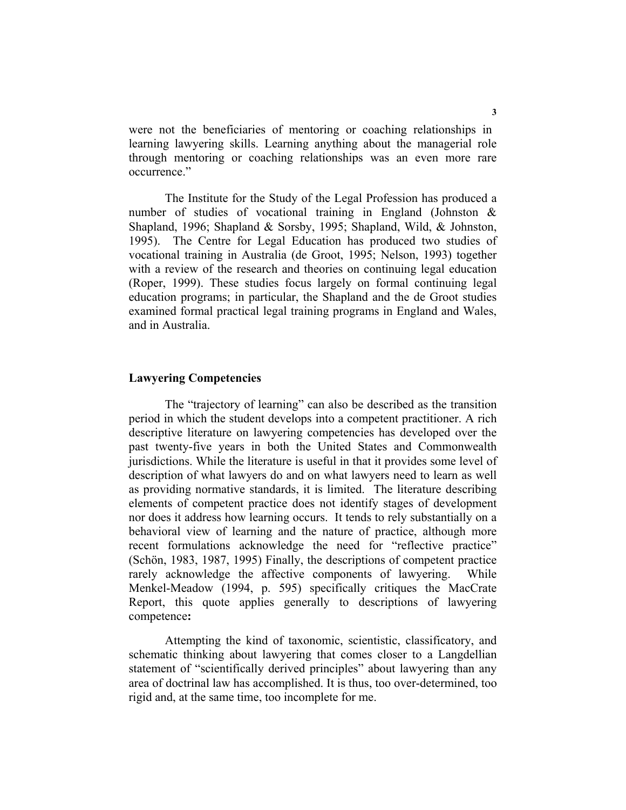were not the beneficiaries of mentoring or coaching relationships in learning lawyering skills. Learning anything about the managerial role through mentoring or coaching relationships was an even more rare occurrence."

The Institute for the Study of the Legal Profession has produced a number of studies of vocational training in England (Johnston & Shapland, 1996; Shapland & Sorsby, 1995; Shapland, Wild, & Johnston, 1995). The Centre for Legal Education has produced two studies of vocational training in Australia (de Groot, 1995; Nelson, 1993) together with a review of the research and theories on continuing legal education (Roper, 1999). These studies focus largely on formal continuing legal education programs; in particular, the Shapland and the de Groot studies examined formal practical legal training programs in England and Wales, and in Australia.

## **Lawyering Competencies**

The "trajectory of learning" can also be described as the transition period in which the student develops into a competent practitioner. A rich descriptive literature on lawyering competencies has developed over the past twenty-five years in both the United States and Commonwealth jurisdictions. While the literature is useful in that it provides some level of description of what lawyers do and on what lawyers need to learn as well as providing normative standards, it is limited. The literature describing elements of competent practice does not identify stages of development nor does it address how learning occurs. It tends to rely substantially on a behavioral view of learning and the nature of practice, although more recent formulations acknowledge the need for "reflective practice" (Schön, 1983, 1987, 1995) Finally, the descriptions of competent practice rarely acknowledge the affective components of lawyering. While Menkel-Meadow (1994, p. 595) specifically critiques the MacCrate Report, this quote applies generally to descriptions of lawyering competence**:** 

Attempting the kind of taxonomic, scientistic, classificatory, and schematic thinking about lawyering that comes closer to a Langdellian statement of "scientifically derived principles" about lawyering than any area of doctrinal law has accomplished. It is thus, too over-determined, too rigid and, at the same time, too incomplete for me.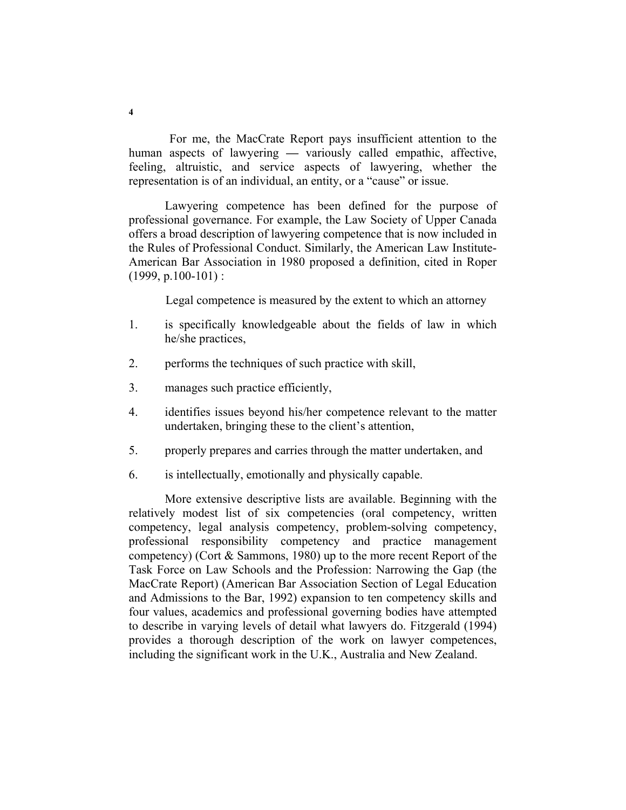For me, the MacCrate Report pays insufficient attention to the human aspects of lawyering **—** variously called empathic, affective, feeling, altruistic, and service aspects of lawyering, whether the representation is of an individual, an entity, or a "cause" or issue.

Lawyering competence has been defined for the purpose of professional governance. For example, the Law Society of Upper Canada offers a broad description of lawyering competence that is now included in the Rules of Professional Conduct. Similarly, the American Law Institute-American Bar Association in 1980 proposed a definition, cited in Roper  $(1999, p.100-101)$ :

Legal competence is measured by the extent to which an attorney

- 1. is specifically knowledgeable about the fields of law in which he/she practices,
- 2. performs the techniques of such practice with skill,
- 3. manages such practice efficiently,
- 4. identifies issues beyond his/her competence relevant to the matter undertaken, bringing these to the client's attention,
- 5. properly prepares and carries through the matter undertaken, and
- 6. is intellectually, emotionally and physically capable.

More extensive descriptive lists are available. Beginning with the relatively modest list of six competencies (oral competency, written competency, legal analysis competency, problem-solving competency, professional responsibility competency and practice management competency) (Cort & Sammons, 1980) up to the more recent Report of the Task Force on Law Schools and the Profession: Narrowing the Gap (the MacCrate Report) (American Bar Association Section of Legal Education and Admissions to the Bar, 1992) expansion to ten competency skills and four values, academics and professional governing bodies have attempted to describe in varying levels of detail what lawyers do. Fitzgerald (1994) provides a thorough description of the work on lawyer competences, including the significant work in the U.K., Australia and New Zealand.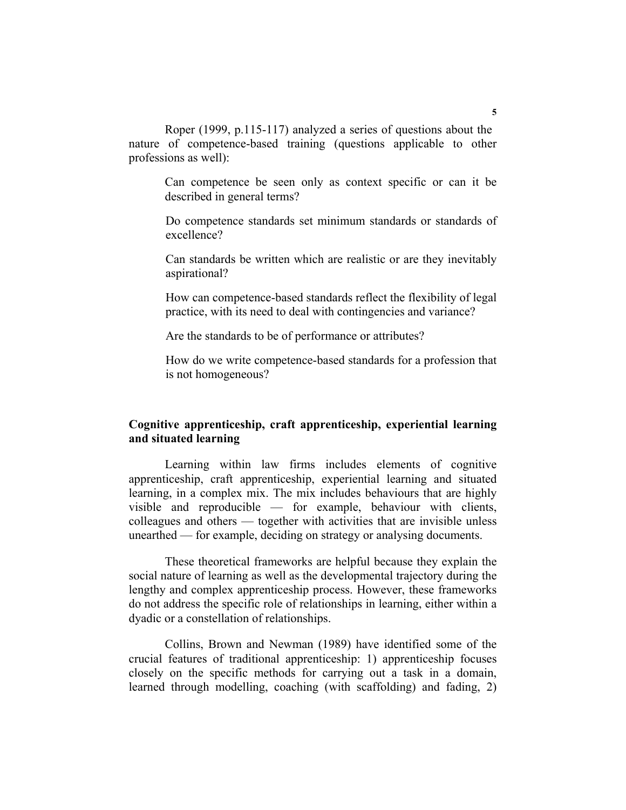Roper (1999, p.115-117) analyzed a series of questions about the nature of competence-based training (questions applicable to other professions as well):

Can competence be seen only as context specific or can it be described in general terms?

Do competence standards set minimum standards or standards of excellence?

Can standards be written which are realistic or are they inevitably aspirational?

How can competence-based standards reflect the flexibility of legal practice, with its need to deal with contingencies and variance?

Are the standards to be of performance or attributes?

How do we write competence-based standards for a profession that is not homogeneous?

# **Cognitive apprenticeship, craft apprenticeship, experiential learning and situated learning**

Learning within law firms includes elements of cognitive apprenticeship, craft apprenticeship, experiential learning and situated learning, in a complex mix. The mix includes behaviours that are highly visible and reproducible — for example, behaviour with clients, colleagues and others — together with activities that are invisible unless unearthed — for example, deciding on strategy or analysing documents.

These theoretical frameworks are helpful because they explain the social nature of learning as well as the developmental trajectory during the lengthy and complex apprenticeship process. However, these frameworks do not address the specific role of relationships in learning, either within a dyadic or a constellation of relationships.

Collins, Brown and Newman (1989) have identified some of the crucial features of traditional apprenticeship: 1) apprenticeship focuses closely on the specific methods for carrying out a task in a domain, learned through modelling, coaching (with scaffolding) and fading, 2)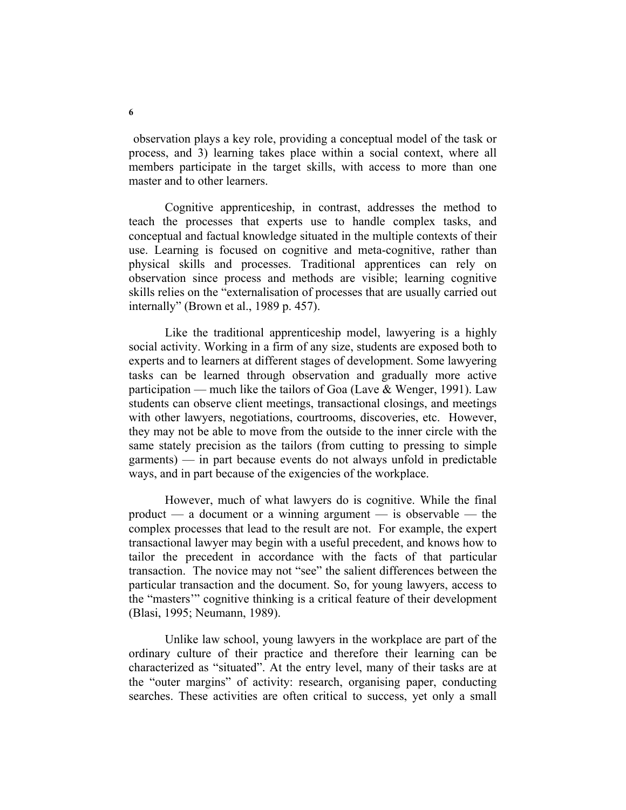observation plays a key role, providing a conceptual model of the task or process, and 3) learning takes place within a social context, where all members participate in the target skills, with access to more than one master and to other learners.

Cognitive apprenticeship, in contrast, addresses the method to teach the processes that experts use to handle complex tasks, and conceptual and factual knowledge situated in the multiple contexts of their use. Learning is focused on cognitive and meta-cognitive, rather than physical skills and processes. Traditional apprentices can rely on observation since process and methods are visible; learning cognitive skills relies on the "externalisation of processes that are usually carried out internally" (Brown et al., 1989 p. 457).

Like the traditional apprenticeship model, lawyering is a highly social activity. Working in a firm of any size, students are exposed both to experts and to learners at different stages of development. Some lawyering tasks can be learned through observation and gradually more active participation — much like the tailors of Goa (Lave & Wenger, 1991). Law students can observe client meetings, transactional closings, and meetings with other lawyers, negotiations, courtrooms, discoveries, etc. However, they may not be able to move from the outside to the inner circle with the same stately precision as the tailors (from cutting to pressing to simple garments) — in part because events do not always unfold in predictable ways, and in part because of the exigencies of the workplace.

However, much of what lawyers do is cognitive. While the final product — a document or a winning argument — is observable — the complex processes that lead to the result are not. For example, the expert transactional lawyer may begin with a useful precedent, and knows how to tailor the precedent in accordance with the facts of that particular transaction. The novice may not "see" the salient differences between the particular transaction and the document. So, for young lawyers, access to the "masters'" cognitive thinking is a critical feature of their development (Blasi, 1995; Neumann, 1989).

Unlike law school, young lawyers in the workplace are part of the ordinary culture of their practice and therefore their learning can be characterized as "situated". At the entry level, many of their tasks are at the "outer margins" of activity: research, organising paper, conducting searches. These activities are often critical to success, yet only a small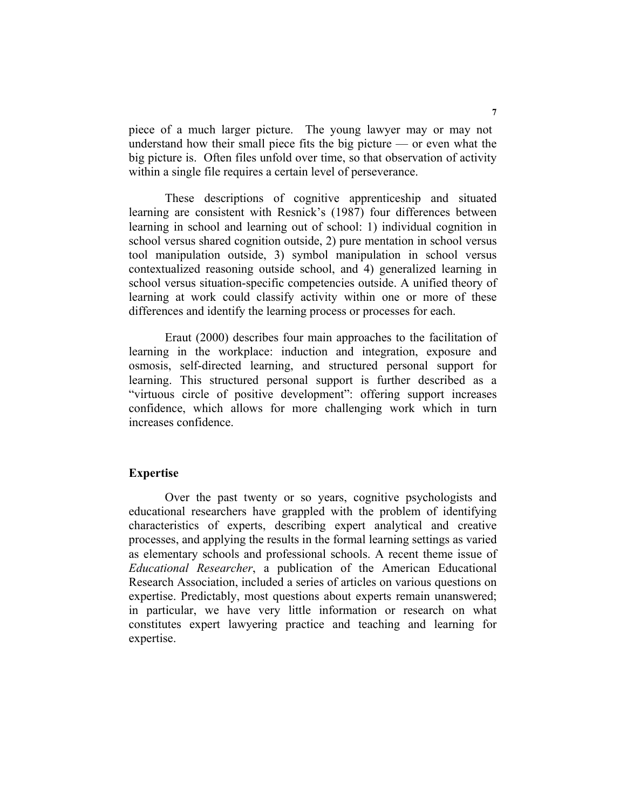piece of a much larger picture. The young lawyer may or may not understand how their small piece fits the big picture — or even what the big picture is. Often files unfold over time, so that observation of activity within a single file requires a certain level of perseverance.

These descriptions of cognitive apprenticeship and situated learning are consistent with Resnick's (1987) four differences between learning in school and learning out of school: 1) individual cognition in school versus shared cognition outside, 2) pure mentation in school versus tool manipulation outside, 3) symbol manipulation in school versus contextualized reasoning outside school, and 4) generalized learning in school versus situation-specific competencies outside. A unified theory of learning at work could classify activity within one or more of these differences and identify the learning process or processes for each.

Eraut (2000) describes four main approaches to the facilitation of learning in the workplace: induction and integration, exposure and osmosis, self-directed learning, and structured personal support for learning. This structured personal support is further described as a "virtuous circle of positive development": offering support increases confidence, which allows for more challenging work which in turn increases confidence.

## **Expertise**

Over the past twenty or so years, cognitive psychologists and educational researchers have grappled with the problem of identifying characteristics of experts, describing expert analytical and creative processes, and applying the results in the formal learning settings as varied as elementary schools and professional schools. A recent theme issue of *Educational Researcher*, a publication of the American Educational Research Association, included a series of articles on various questions on expertise. Predictably, most questions about experts remain unanswered; in particular, we have very little information or research on what constitutes expert lawyering practice and teaching and learning for expertise.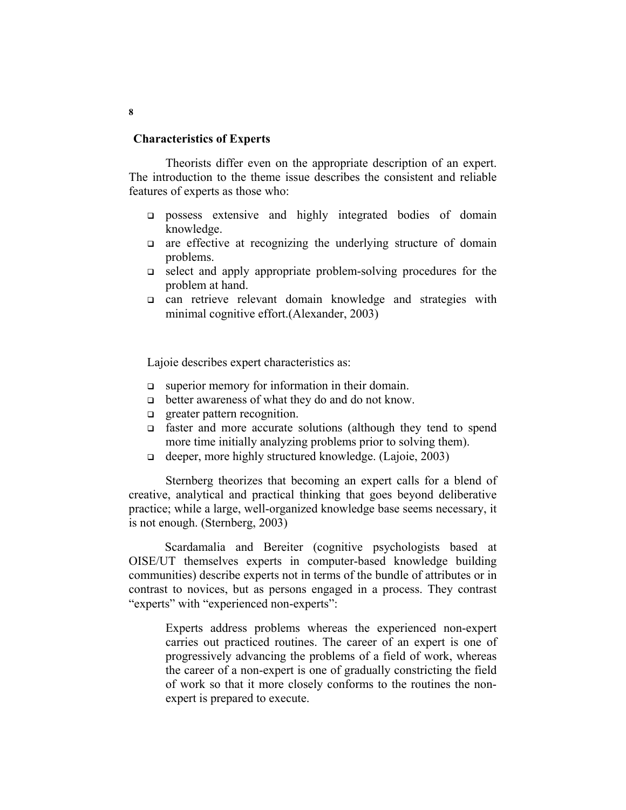### **Characteristics of Experts**

Theorists differ even on the appropriate description of an expert. The introduction to the theme issue describes the consistent and reliable features of experts as those who:

- possess extensive and highly integrated bodies of domain knowledge.
- $\Box$  are effective at recognizing the underlying structure of domain problems.
- select and apply appropriate problem-solving procedures for the problem at hand.
- can retrieve relevant domain knowledge and strategies with minimal cognitive effort.(Alexander, 2003)

Lajoie describes expert characteristics as:

- superior memory for information in their domain.
- better awareness of what they do and do not know.
- **q** greater pattern recognition.
- faster and more accurate solutions (although they tend to spend more time initially analyzing problems prior to solving them).
- deeper, more highly structured knowledge. (Lajoie, 2003)

Sternberg theorizes that becoming an expert calls for a blend of creative, analytical and practical thinking that goes beyond deliberative practice; while a large, well-organized knowledge base seems necessary, it is not enough. (Sternberg, 2003)

Scardamalia and Bereiter (cognitive psychologists based at OISE/UT themselves experts in computer-based knowledge building communities) describe experts not in terms of the bundle of attributes or in contrast to novices, but as persons engaged in a process. They contrast "experts" with "experienced non-experts":

Experts address problems whereas the experienced non-expert carries out practiced routines. The career of an expert is one of progressively advancing the problems of a field of work, whereas the career of a non-expert is one of gradually constricting the field of work so that it more closely conforms to the routines the nonexpert is prepared to execute.

**8**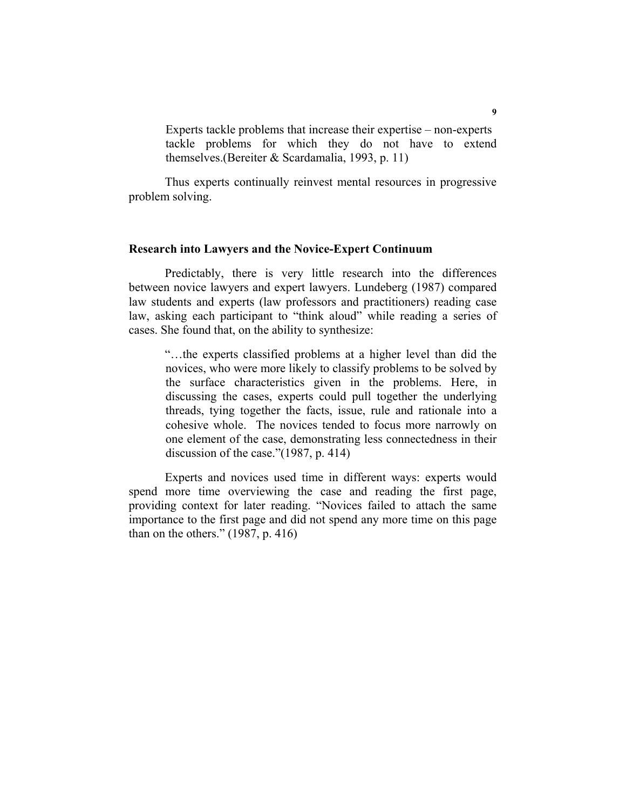Experts tackle problems that increase their expertise – non-experts tackle problems for which they do not have to extend themselves.(Bereiter & Scardamalia, 1993, p. 11)

Thus experts continually reinvest mental resources in progressive problem solving.

## **Research into Lawyers and the Novice-Expert Continuum**

Predictably, there is very little research into the differences between novice lawyers and expert lawyers. Lundeberg (1987) compared law students and experts (law professors and practitioners) reading case law, asking each participant to "think aloud" while reading a series of cases. She found that, on the ability to synthesize:

"…the experts classified problems at a higher level than did the novices, who were more likely to classify problems to be solved by the surface characteristics given in the problems. Here, in discussing the cases, experts could pull together the underlying threads, tying together the facts, issue, rule and rationale into a cohesive whole. The novices tended to focus more narrowly on one element of the case, demonstrating less connectedness in their discussion of the case."(1987, p. 414)

Experts and novices used time in different ways: experts would spend more time overviewing the case and reading the first page, providing context for later reading. "Novices failed to attach the same importance to the first page and did not spend any more time on this page than on the others." (1987, p. 416)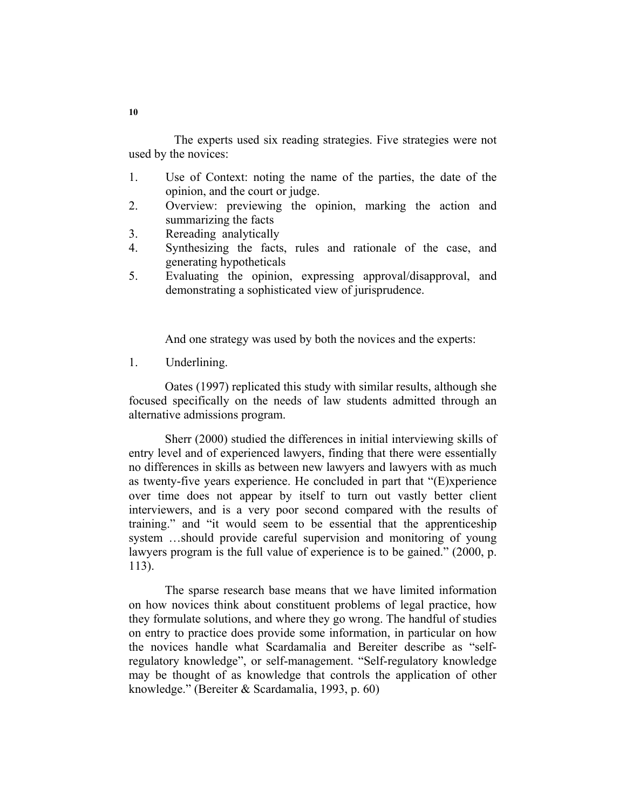The experts used six reading strategies. Five strategies were not used by the novices:

- 1. Use of Context: noting the name of the parties, the date of the opinion, and the court or judge.
- 2. Overview: previewing the opinion, marking the action and summarizing the facts
- 3. Rereading analytically
- 4. Synthesizing the facts, rules and rationale of the case, and generating hypotheticals
- 5. Evaluating the opinion, expressing approval/disapproval, and demonstrating a sophisticated view of jurisprudence.

And one strategy was used by both the novices and the experts:

1. Underlining.

Oates (1997) replicated this study with similar results, although she focused specifically on the needs of law students admitted through an alternative admissions program.

Sherr (2000) studied the differences in initial interviewing skills of entry level and of experienced lawyers, finding that there were essentially no differences in skills as between new lawyers and lawyers with as much as twenty-five years experience. He concluded in part that "(E)xperience over time does not appear by itself to turn out vastly better client interviewers, and is a very poor second compared with the results of training." and "it would seem to be essential that the apprenticeship system …should provide careful supervision and monitoring of young lawyers program is the full value of experience is to be gained." (2000, p. 113).

The sparse research base means that we have limited information on how novices think about constituent problems of legal practice, how they formulate solutions, and where they go wrong. The handful of studies on entry to practice does provide some information, in particular on how the novices handle what Scardamalia and Bereiter describe as "selfregulatory knowledge", or self-management. "Self-regulatory knowledge may be thought of as knowledge that controls the application of other knowledge." (Bereiter & Scardamalia, 1993, p. 60)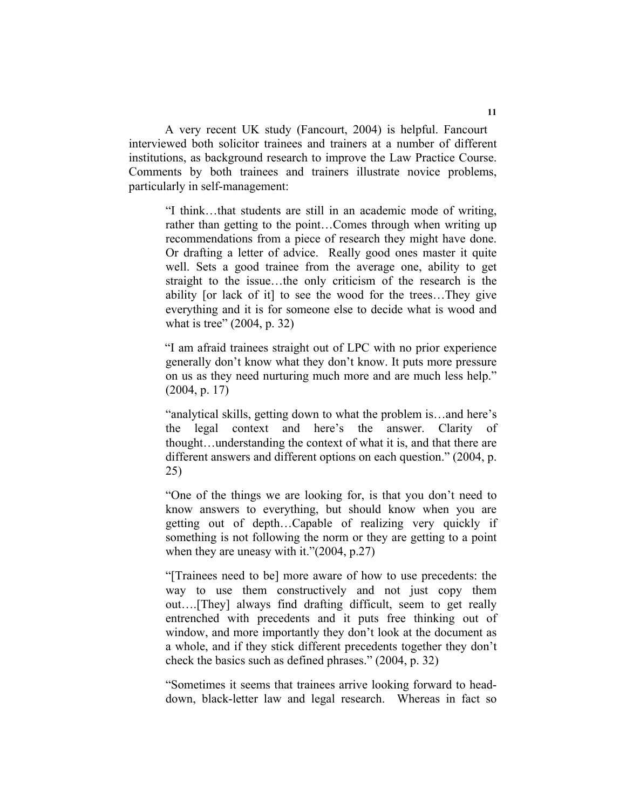A very recent UK study (Fancourt, 2004) is helpful. Fancourt interviewed both solicitor trainees and trainers at a number of different institutions, as background research to improve the Law Practice Course. Comments by both trainees and trainers illustrate novice problems, particularly in self-management:

"I think…that students are still in an academic mode of writing, rather than getting to the point…Comes through when writing up recommendations from a piece of research they might have done. Or drafting a letter of advice. Really good ones master it quite well. Sets a good trainee from the average one, ability to get straight to the issue…the only criticism of the research is the ability [or lack of it] to see the wood for the trees…They give everything and it is for someone else to decide what is wood and what is tree" (2004, p. 32)

"I am afraid trainees straight out of LPC with no prior experience generally don't know what they don't know. It puts more pressure on us as they need nurturing much more and are much less help." (2004, p. 17)

"analytical skills, getting down to what the problem is…and here's the legal context and here's the answer. Clarity of thought…understanding the context of what it is, and that there are different answers and different options on each question." (2004, p. 25)

"One of the things we are looking for, is that you don't need to know answers to everything, but should know when you are getting out of depth…Capable of realizing very quickly if something is not following the norm or they are getting to a point when they are uneasy with it."(2004, p.27)

"[Trainees need to be] more aware of how to use precedents: the way to use them constructively and not just copy them out….[They] always find drafting difficult, seem to get really entrenched with precedents and it puts free thinking out of window, and more importantly they don't look at the document as a whole, and if they stick different precedents together they don't check the basics such as defined phrases." (2004, p. 32)

"Sometimes it seems that trainees arrive looking forward to headdown, black-letter law and legal research. Whereas in fact so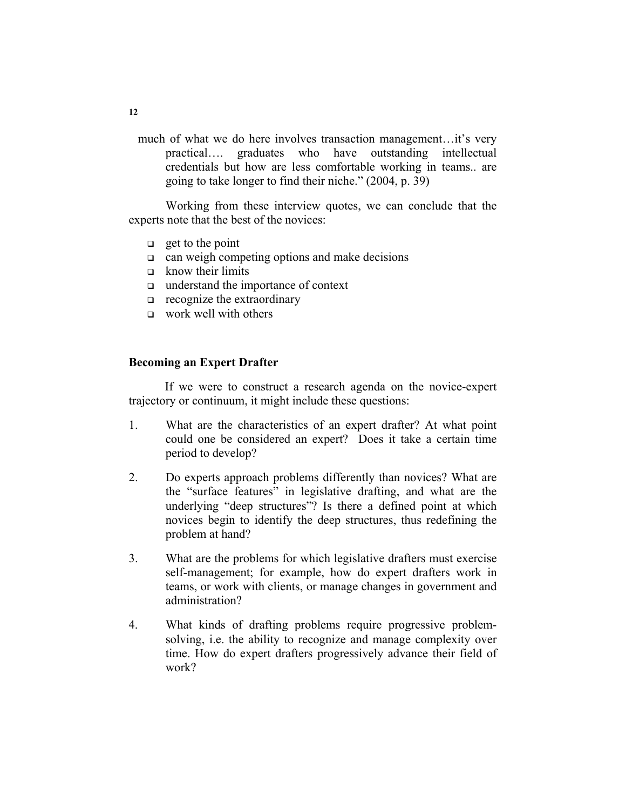much of what we do here involves transaction management…it's very practical…. graduates who have outstanding intellectual credentials but how are less comfortable working in teams.. are going to take longer to find their niche." (2004, p. 39)

Working from these interview quotes, we can conclude that the experts note that the best of the novices:

- $\Box$  get to the point
- $\Box$  can weigh competing options and make decisions
- $\Box$  know their limits
- understand the importance of context
- $\Box$  recognize the extraordinary
- $\Box$  work well with others

## **Becoming an Expert Drafter**

If we were to construct a research agenda on the novice-expert trajectory or continuum, it might include these questions:

- 1. What are the characteristics of an expert drafter? At what point could one be considered an expert? Does it take a certain time period to develop?
- 2. Do experts approach problems differently than novices? What are the "surface features" in legislative drafting, and what are the underlying "deep structures"? Is there a defined point at which novices begin to identify the deep structures, thus redefining the problem at hand?
- 3. What are the problems for which legislative drafters must exercise self-management; for example, how do expert drafters work in teams, or work with clients, or manage changes in government and administration?
- 4. What kinds of drafting problems require progressive problemsolving, i.e. the ability to recognize and manage complexity over time. How do expert drafters progressively advance their field of work?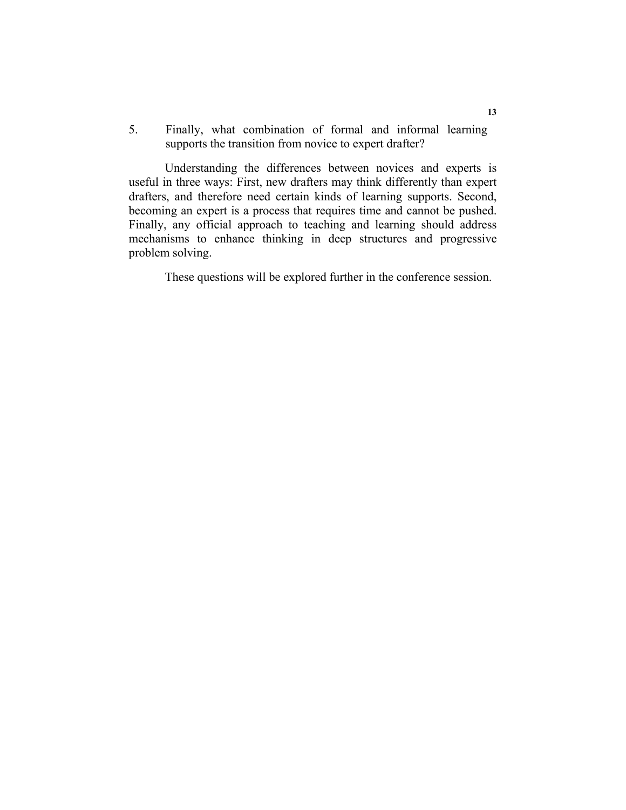5. Finally, what combination of formal and informal learning supports the transition from novice to expert drafter?

Understanding the differences between novices and experts is useful in three ways: First, new drafters may think differently than expert drafters, and therefore need certain kinds of learning supports. Second, becoming an expert is a process that requires time and cannot be pushed. Finally, any official approach to teaching and learning should address mechanisms to enhance thinking in deep structures and progressive problem solving.

These questions will be explored further in the conference session.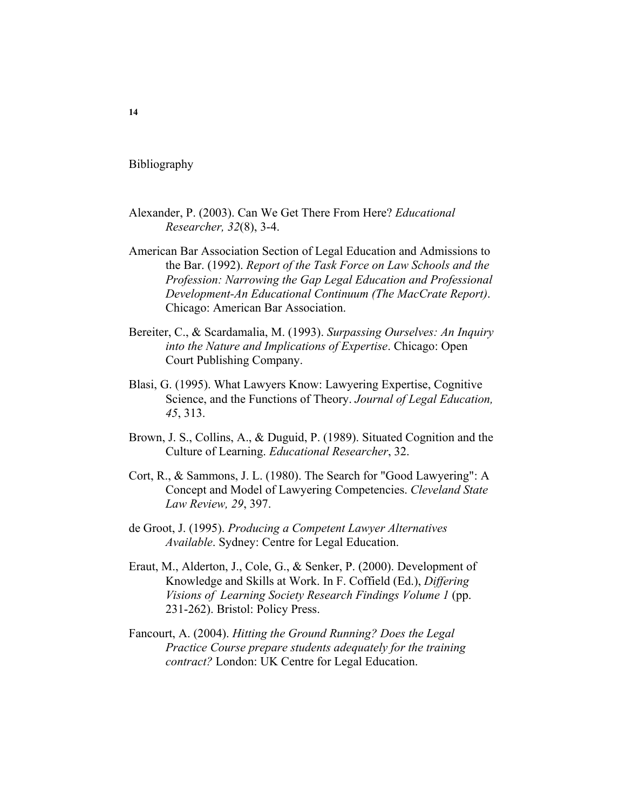Bibliography

- Alexander, P. (2003). Can We Get There From Here? *Educational Researcher, 32*(8), 3-4.
- American Bar Association Section of Legal Education and Admissions to the Bar. (1992). *Report of the Task Force on Law Schools and the Profession: Narrowing the Gap Legal Education and Professional Development-An Educational Continuum (The MacCrate Report)*. Chicago: American Bar Association.
- Bereiter, C., & Scardamalia, M. (1993). *Surpassing Ourselves: An Inquiry into the Nature and Implications of Expertise*. Chicago: Open Court Publishing Company.
- Blasi, G. (1995). What Lawyers Know: Lawyering Expertise, Cognitive Science, and the Functions of Theory. *Journal of Legal Education, 45*, 313.
- Brown, J. S., Collins, A., & Duguid, P. (1989). Situated Cognition and the Culture of Learning. *Educational Researcher*, 32.
- Cort, R., & Sammons, J. L. (1980). The Search for "Good Lawyering": A Concept and Model of Lawyering Competencies. *Cleveland State Law Review, 29*, 397.
- de Groot, J. (1995). *Producing a Competent Lawyer Alternatives Available*. Sydney: Centre for Legal Education.
- Eraut, M., Alderton, J., Cole, G., & Senker, P. (2000). Development of Knowledge and Skills at Work. In F. Coffield (Ed.), *Differing Visions of Learning Society Research Findings Volume 1* (pp. 231-262). Bristol: Policy Press.
- Fancourt, A. (2004). *Hitting the Ground Running? Does the Legal Practice Course prepare students adequately for the training contract?* London: UK Centre for Legal Education.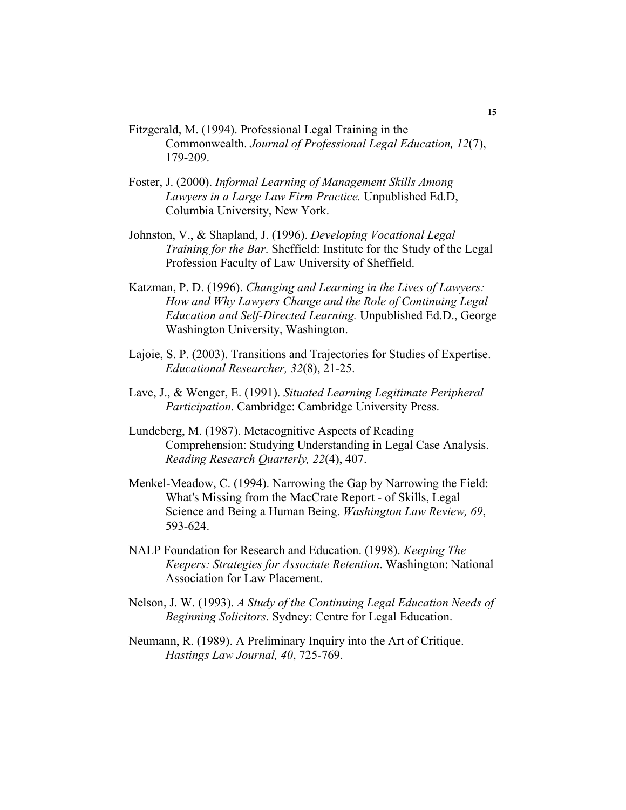- Fitzgerald, M. (1994). Professional Legal Training in the Commonwealth. *Journal of Professional Legal Education, 12*(7), 179-209.
- Foster, J. (2000). *Informal Learning of Management Skills Among Lawyers in a Large Law Firm Practice.* Unpublished Ed.D, Columbia University, New York.
- Johnston, V., & Shapland, J. (1996). *Developing Vocational Legal Training for the Bar*. Sheffield: Institute for the Study of the Legal Profession Faculty of Law University of Sheffield.
- Katzman, P. D. (1996). *Changing and Learning in the Lives of Lawyers: How and Why Lawyers Change and the Role of Continuing Legal Education and Self-Directed Learning.* Unpublished Ed.D., George Washington University, Washington.
- Lajoie, S. P. (2003). Transitions and Trajectories for Studies of Expertise. *Educational Researcher, 32*(8), 21-25.
- Lave, J., & Wenger, E. (1991). *Situated Learning Legitimate Peripheral Participation*. Cambridge: Cambridge University Press.
- Lundeberg, M. (1987). Metacognitive Aspects of Reading Comprehension: Studying Understanding in Legal Case Analysis. *Reading Research Quarterly, 22*(4), 407.
- Menkel-Meadow, C. (1994). Narrowing the Gap by Narrowing the Field: What's Missing from the MacCrate Report - of Skills, Legal Science and Being a Human Being. *Washington Law Review, 69*, 593-624.
- NALP Foundation for Research and Education. (1998). *Keeping The Keepers: Strategies for Associate Retention*. Washington: National Association for Law Placement.
- Nelson, J. W. (1993). *A Study of the Continuing Legal Education Needs of Beginning Solicitors*. Sydney: Centre for Legal Education.
- Neumann, R. (1989). A Preliminary Inquiry into the Art of Critique. *Hastings Law Journal, 40*, 725-769.